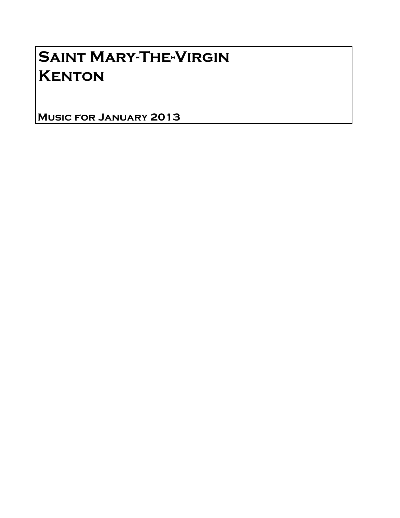# Saint Mary-The-Virgin **KENTON**

Music for January 2013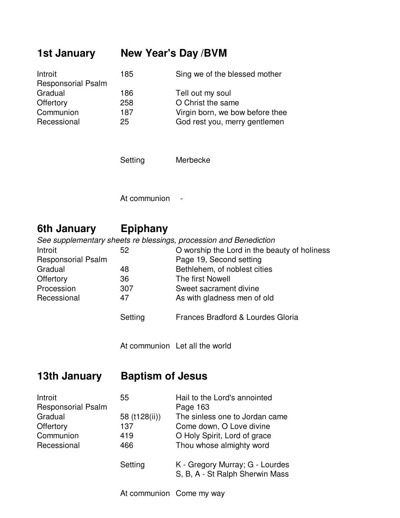## **1st January New Year's Day /BVM**

| Introit                   | 185 | Sing we of the blessed mother   |
|---------------------------|-----|---------------------------------|
| <b>Responsorial Psalm</b> |     |                                 |
| Gradual                   | 186 | Tell out my soul                |
| Offertory                 | 258 | O Christ the same               |
| Communion                 | 187 | Virgin born, we bow before thee |
| Recessional               | 25  | God rest you, merry gentlemen   |

Setting Merbecke

At communion -

# **6th January Epiphany**

|                           |         | See supplementary sheets re blessings, procession and Benediction |
|---------------------------|---------|-------------------------------------------------------------------|
| Introit                   | 52      | O worship the Lord in the beauty of holiness                      |
| <b>Responsorial Psalm</b> |         | Page 19, Second setting                                           |
| Gradual                   | 48      | Bethlehem, of noblest cities                                      |
| Offertory                 | 36      | The first Nowell                                                  |
| Procession                | 307     | Sweet sacrament divine                                            |
| Recessional               | 47      | As with gladness men of old                                       |
|                           | Setting | Frances Bradford & Lourdes Gloria                                 |

At communion Let all the world

### **13th January Baptism of Jesus**

| Introit<br><b>Responsorial Psalm</b> | 55            | Hail to the Lord's annointed<br>Page 163                           |
|--------------------------------------|---------------|--------------------------------------------------------------------|
| Gradual                              | 58 (t128(ii)) | The sinless one to Jordan came                                     |
| Offertory                            | 137           | Come down, O Love divine                                           |
| Communion                            | 419           | O Holy Spirit, Lord of grace                                       |
| Recessional                          | 466           | Thou whose almighty word                                           |
|                                      | Setting       | K - Gregory Murray; G - Lourdes<br>S, B, A - St Ralph Sherwin Mass |

At communion Come my way